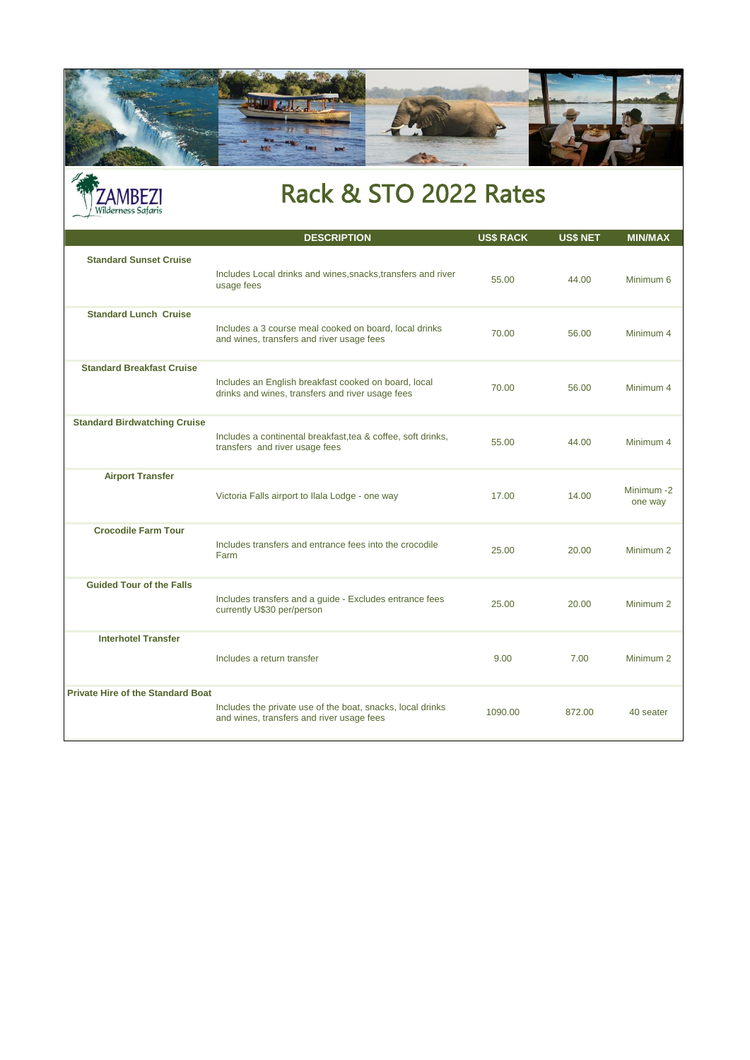



## Rack & STO 2022 Rates

|                                          | <b>DESCRIPTION</b>                                                                                       | <b>US\$ RACK</b> | <b>US\$ NET</b> | <b>MIN/MAX</b>       |
|------------------------------------------|----------------------------------------------------------------------------------------------------------|------------------|-----------------|----------------------|
| <b>Standard Sunset Cruise</b>            | Includes Local drinks and wines, snacks, transfers and river<br>usage fees                               | 55.00            | 44.00           | Minimum 6            |
| <b>Standard Lunch Cruise</b>             | Includes a 3 course meal cooked on board, local drinks<br>and wines, transfers and river usage fees      | 70.00            | 56.00           | Minimum 4            |
| <b>Standard Breakfast Cruise</b>         | Includes an English breakfast cooked on board, local<br>drinks and wines, transfers and river usage fees | 70.00            | 56.00           | Minimum 4            |
| <b>Standard Birdwatching Cruise</b>      | Includes a continental breakfast, tea & coffee, soft drinks,<br>transfers and river usage fees           | 55.00            | 44.00           | Minimum 4            |
| <b>Airport Transfer</b>                  | Victoria Falls airport to Ilala Lodge - one way                                                          | 17.00            | 14.00           | Minimum-2<br>one way |
| <b>Crocodile Farm Tour</b>               | Includes transfers and entrance fees into the crocodile<br>Farm                                          | 25.00            | 20.00           | Minimum <sub>2</sub> |
| <b>Guided Tour of the Falls</b>          | Includes transfers and a guide - Excludes entrance fees<br>currently U\$30 per/person                    | 25.00            | 20.00           | Minimum <sub>2</sub> |
| <b>Interhotel Transfer</b>               | Includes a return transfer                                                                               | 9.00             | 7.00            | Minimum <sub>2</sub> |
| <b>Private Hire of the Standard Boat</b> | Includes the private use of the boat, snacks, local drinks<br>and wines, transfers and river usage fees  | 1090.00          | 872.00          | 40 seater            |